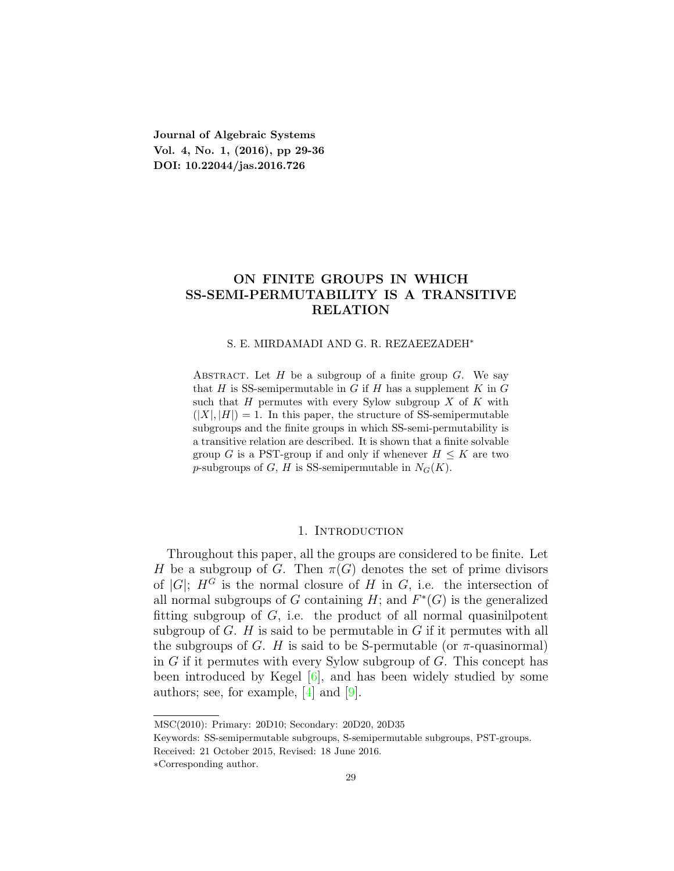**Journal of Algebraic Systems Vol. 4, No. 1, (2016), pp 29-36 DOI: 10.22044/jas.2016.726**

# **ON FINITE GROUPS IN WHICH SS-SEMI-PERMUTABILITY IS A TRANSITIVE RELATION**

#### S. E. MIRDAMADI AND G. R. REZAEEZADEH*<sup>∗</sup>*

ABSTRACT. Let  $H$  be a subgroup of a finite group  $G$ . We say that *H* is SS-semipermutable in *G* if *H* has a supplement  $K$  in  $G$ such that *H* permutes with every Sylow subgroup *X* of *K* with  $(|X|, |H|) = 1$ . In this paper, the structure of SS-semipermutable subgroups and the finite groups in which SS-semi-permutability is a transitive relation are described. It is shown that a finite solvable group *G* is a PST-group if and only if whenever  $H \leq K$  are two *p*-subgroups of *G*, *H* is SS-semipermutable in  $N_G(K)$ .

#### 1. INTRODUCTION

Throughout this paper, all the groups are considered to be finite. Let *H* be a subgroup of *G*. Then  $\pi(G)$  denotes the set of prime divisors of  $|G|$ ;  $H^G$  is the normal closure of *H* in *G*, i.e. the intersection of all normal subgroups of *G* containing  $H$ ; and  $F^*(G)$  is the generalized fitting subgroup of *G*, i.e. the product of all normal quasinilpotent subgroup of *G*. *H* is said to be permutable in *G* if it permutes with all the subgroups of *G*. *H* is said to be S-permutable (or  $\pi$ -quasinormal) in *G* if it permutes with every Sylow subgroup of *G*. This concept has been introduced by Kegel [\[6](#page-6-0)], and has been widely studied by some authors; see, for example, [[4](#page-6-1)] and [[9](#page-6-2)].

MSC(2010): Primary: 20D10; Secondary: 20D20, 20D35

Keywords: SS-semipermutable subgroups, S-semipermutable subgroups, PST-groups.

Received: 21 October 2015, Revised: 18 June 2016.

*<sup>∗</sup>*Corresponding author.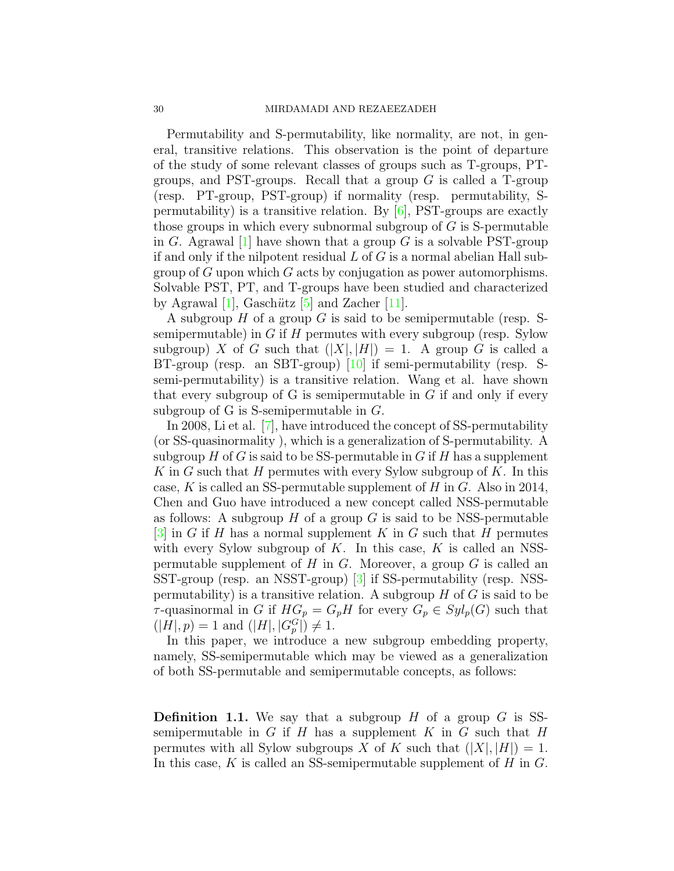Permutability and S-permutability, like normality, are not, in general, transitive relations. This observation is the point of departure of the study of some relevant classes of groups such as T-groups, PTgroups, and PST-groups. Recall that a group *G* is called a T-group (resp. PT-group, PST-group) if normality (resp. permutability, Spermutability) is a transitive relation. By [[6\]](#page-6-0), PST-groups are exactly those groups in which every subnormal subgroup of *G* is S-permutable in *G*. Agrawal [[1\]](#page-6-3) have shown that a group *G* is a solvable PST-group if and only if the nilpotent residual *L* of *G* is a normal abelian Hall subgroup of *G* upon which *G* acts by conjugation as power automorphisms. Solvable PST, PT, and T-groups have been studied and characterized by Agrawal  $[1]$  $[1]$ , Gaschütz  $[5]$  $[5]$  and Zacher  $[11]$  $[11]$  $[11]$ .

A subgroup *H* of a group *G* is said to be semipermutable (resp. Ssemipermutable) in *G* if *H* permutes with every subgroup (resp. Sylow subgroup) *X* of *G* such that  $(|X|, |H|) = 1$ . A group *G* is called a BT-group (resp. an SBT-group) [[10\]](#page-6-6) if semi-permutability (resp. Ssemi-permutability) is a transitive relation. Wang et al. have shown that every subgroup of G is semipermutable in *G* if and only if every subgroup of G is S-semipermutable in *G*.

In 2008, Li et al. [[7](#page-6-7)], have introduced the concept of SS-permutability (or SS-quasinormality ), which is a generalization of S-permutability. A subgroup *H* of *G* is said to be SS-permutable in *G* if *H* has a supplement *K* in *G* such that *H* permutes with every Sylow subgroup of *K*. In this case, *K* is called an SS-permutable supplement of *H* in *G*. Also in 2014, Chen and Guo have introduced a new concept called NSS-permutable as follows: A subgroup *H* of a group *G* is said to be NSS-permutable [[3\]](#page-6-8) in *G* if *H* has a normal supplement *K* in *G* such that *H* permutes with every Sylow subgroup of *K*. In this case, *K* is called an NSSpermutable supplement of *H* in *G*. Moreover, a group *G* is called an SST-group (resp. an NSST-group) [[3\]](#page-6-8) if SS-permutability (resp. NSSpermutability) is a transitive relation. A subgroup *H* of *G* is said to be *τ*-quasinormal in *G* if  $HG_p = G_pH$  for every  $G_p \in Syl_p(G)$  such that  $(|H|, p) = 1$  and  $(|H|, |G_p^G|) \neq 1$ .

In this paper, we introduce a new subgroup embedding property, namely, SS-semipermutable which may be viewed as a generalization of both SS-permutable and semipermutable concepts, as follows:

**Definition 1.1.** We say that a subgroup *H* of a group *G* is SSsemipermutable in  $G$  if  $H$  has a supplement  $K$  in  $G$  such that  $H$ permutes with all Sylow subgroups *X* of *K* such that  $(|X|, |H|) = 1$ . In this case, *K* is called an SS-semipermutable supplement of *H* in *G*.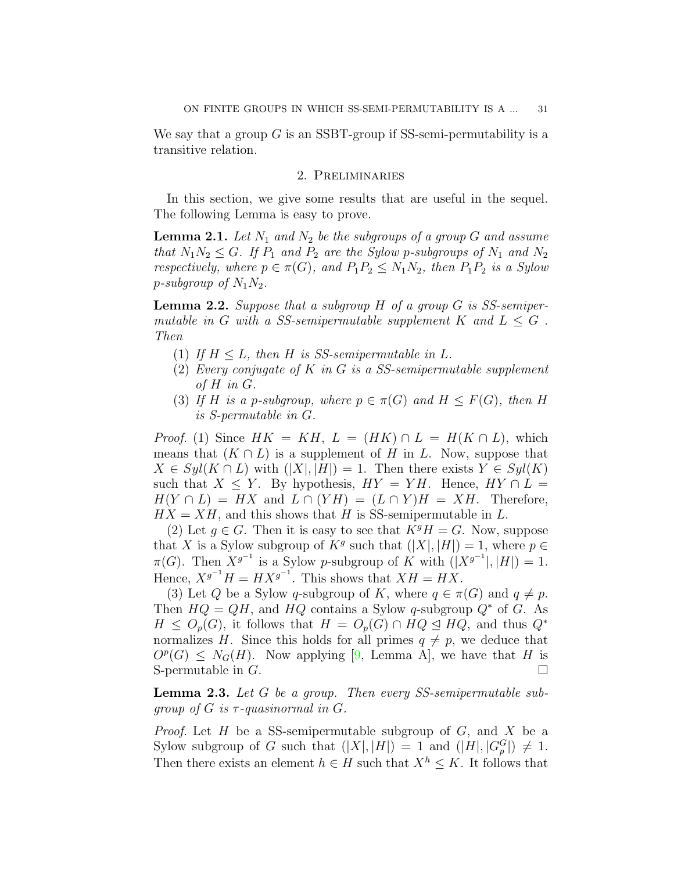We say that a group *G* is an SSBT-group if SS-semi-permutability is a transitive relation.

### 2. Preliminaries

In this section, we give some results that are useful in the sequel. The following Lemma is easy to prove.

<span id="page-2-1"></span>**Lemma 2.1.** Let  $N_1$  and  $N_2$  be the subgroups of a group G and assume *that*  $N_1N_2 \leq G$ *. If*  $P_1$  *and*  $P_2$  *are the Sylow p-subgroups of*  $N_1$  *and*  $N_2$ *respectively, where*  $p \in \pi(G)$ *, and*  $P_1P_2 \leq N_1N_2$ *, then*  $P_1P_2$  *is a Sylow p*-subgroup of  $N_1N_2$ .

<span id="page-2-0"></span>**Lemma 2.2.** *Suppose that a subgroup H of a group G is SS-semipermutable in G with* a SS-semipermutable supplement  $K$  *and*  $L \leq G$ . *Then*

- (1) If  $H \leq L$ , then  $H$  is SS-semipermutable in  $L$ .
- (2) *Every conjugate of K in G is a SS-semipermutable supplement of H in G.*
- (3) If *H* is a *p*-subgroup, where  $p \in \pi(G)$  and  $H \leq F(G)$ , then *H is S-permutable in G.*

*Proof.* (1) Since  $HK = KH$ ,  $L = (HK) \cap L = H(K \cap L)$ , which means that  $(K \cap L)$  is a supplement of *H* in *L*. Now, suppose that  $X \in Syl(K \cap L)$  with  $(|X|, |H|) = 1$ . Then there exists  $Y \in Syl(K)$ such that  $X \leq Y$ . By hypothesis,  $HY = YH$ . Hence,  $HY \cap L =$  $H(Y \cap L) = HX$  and  $L \cap (YH) = (L \cap Y)H = XH$ . Therefore,  $HX = XH$ , and this shows that *H* is SS-semipermutable in *L*.

(2) Let  $q \in G$ . Then it is easy to see that  $K^{g}H = G$ . Now, suppose that *X* is a Sylow subgroup of  $K^g$  such that  $(|X|, |H|) = 1$ , where  $p \in$  $\pi(G)$ . Then  $X^{g^{-1}}$  is a Sylow *p*-subgroup of *K* with  $(|X^{g^{-1}}|, |H|) = 1$ . Hence,  $X^{g^{-1}}H = H X^{g^{-1}}$ . This shows that  $XH = H X$ .

(3) Let *Q* be a Sylow *q*-subgroup of *K*, where  $q \in \pi(G)$  and  $q \neq p$ . Then  $HQ = QH$ , and  $HQ$  contains a Sylow *q*-subgroup  $Q^*$  of *G*. As  $H \leq O_p(G)$ , it follows that  $H = O_p(G) \cap HQ \leq HQ$ , and thus  $Q^*$ normalizes *H*. Since this holds for all primes  $q \neq p$ , we deduce that  $O^p(G) \leq N_G(H)$ . Now applying [[9,](#page-6-2) Lemma A], we have that *H* is S-permutable in  $G$ .

<span id="page-2-2"></span>**Lemma 2.3.** *Let G be a group. Then every SS-semipermutable subgroup of*  $G$  *is*  $\tau$ -*quasinormal in*  $G$ *.* 

*Proof.* Let *H* be a SS-semipermutable subgroup of *G*, and *X* be a Sylow subgroup of *G* such that  $(|X|, |H|) = 1$  and  $(|H|, |G_p^G|) \neq 1$ . Then there exists an element  $h \in H$  such that  $X^h \leq K$ . It follows that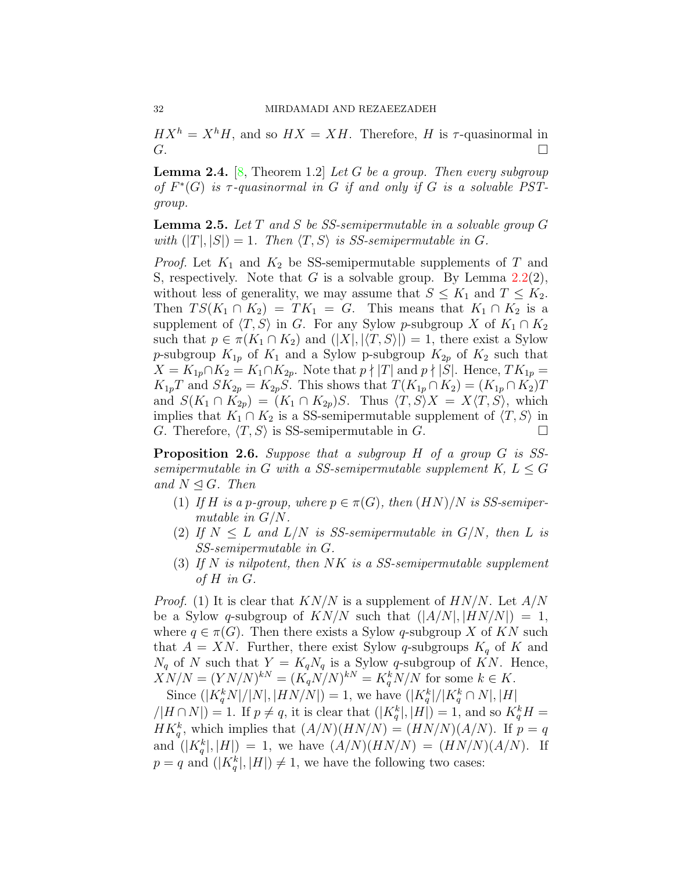$H X<sup>h</sup> = X<sup>h</sup> H$ , and so  $H X = X H$ . Therefore, *H* is *τ*-quasinormal in  $G$ .

<span id="page-3-0"></span>**Lemma 2.4.** [[8,](#page-6-9) Theorem 1.2] *Let G be a group. Then every subgroup of*  $F^*(G)$  *is*  $\tau$ -quasinormal in  $G$  *if and only if*  $G$  *is a solvable PSTgroup.*

<span id="page-3-1"></span>**Lemma 2.5.** *Let T and S be SS-semipermutable in a solvable group G with*  $(|T|, |S|) = 1$ *. Then*  $\langle T, S \rangle$  *is SS-semipermutable in G.* 

*Proof.* Let *K*<sup>1</sup> and *K*<sup>2</sup> be SS-semipermutable supplements of *T* and S, respectively. Note that *G* is a solvable group. By Lemma [2.2\(](#page-2-0)2), without less of generality, we may assume that  $S \leq K_1$  and  $T \leq K_2$ . Then  $TS(K_1 \cap K_2) = TK_1 = G$ . This means that  $K_1 \cap K_2$  is a supplement of  $\langle T, S \rangle$  in *G*. For any Sylow *p*-subgroup *X* of  $K_1 \cap K_2$ such that  $p \in \pi(K_1 \cap K_2)$  and  $(|X|, |\langle T, S \rangle|) = 1$ , there exist a Sylow *p*-subgroup  $K_{1p}$  of  $K_1$  and a Sylow p-subgroup  $K_{2p}$  of  $K_2$  such that *X* = *K*<sub>1*p*</sub></sub>∩*K*<sub>2</sub> = *K*<sub>1</sub>∩*K*<sub>2*p*</sub>. Note that *p* ∤ |*T*| and *p* ∤ |*S*|. Hence, *TK*<sub>1*p*</sub> =  $K_{1p}T$  and  $SK_{2p} = K_{2p}S$ . This shows that  $T(K_{1p} \cap K_2) = (K_{1p} \cap K_2)T$ and  $S(K_1 \cap K_{2p}) = (K_1 \cap K_{2p})S$ . Thus  $\langle T, S \rangle X = X \langle T, S \rangle$ , which implies that  $K_1 \cap K_2$  is a SS-semipermutable supplement of  $\langle T, S \rangle$  in  $G$ . Therefore,  $\langle T, S \rangle$  is SS-semipermutable in  $G$ . *G*. Therefore,  $\langle T, S \rangle$  is SS-semipermutable in *G*.

**Proposition 2.6.** *Suppose that a subgroup H of a group G is SSsemipermutable in G with a SS-semipermutable supplement*  $K, L \leq G$ *and*  $N$  ⊴ *G. Then* 

- (1) If *H* is a *p*-group, where  $p \in \pi(G)$ , then  $(HN)/N$  is SS-semiper*mutable in G/N.*
- (2) If  $N \leq L$  and  $L/N$  is SS-semipermutable in  $G/N$ , then L is *SS-semipermutable in G.*
- (3) *If N is nilpotent, then NK is a SS-semipermutable supplement of H in G.*

*Proof.* (1) It is clear that *KN/N* is a supplement of *HN/N*. Let *A/N* be a Sylow *q*-subgroup of  $KN/N$  such that  $(|A/N|, |HN/N|) = 1$ , where  $q \in \pi(G)$ . Then there exists a Sylow *q*-subgroup *X* of *KN* such that  $A = XN$ . Further, there exist Sylow *q*-subgroups  $K_q$  of K and  $N_q$  of *N* such that  $Y = K_q N_q$  is a Sylow *q*-subgroup of *KN*. Hence,  $XN/N = (YN/N)^{kN} = (K_qN/N)^{kN} = K_q^kN/N$  for some  $k \in K$ .

Since  $(|K_q^k N|/|N|, |HN/N|) = 1$ , we have  $(|K_q^k|/|K_q^k \cap N|, |H|)$  $\mathcal{L}(H \cap N) = 1$ . If  $p \neq q$ , it is clear that  $\mathcal{L}(K_q^k |, |H|) = 1$ , and so  $K_q^k H =$  $HK_q^k$ , which implies that  $(A/N)(HN/N) = (HN/N)(A/N)$ . If  $p = q$ and  $(|K_q^k|, |H|) = 1$ , we have  $(A/N)(HN/N) = (HN/N)(A/N)$ . If  $p = q$  and  $(|K_q^k|, |H|) \neq 1$ , we have the following two cases: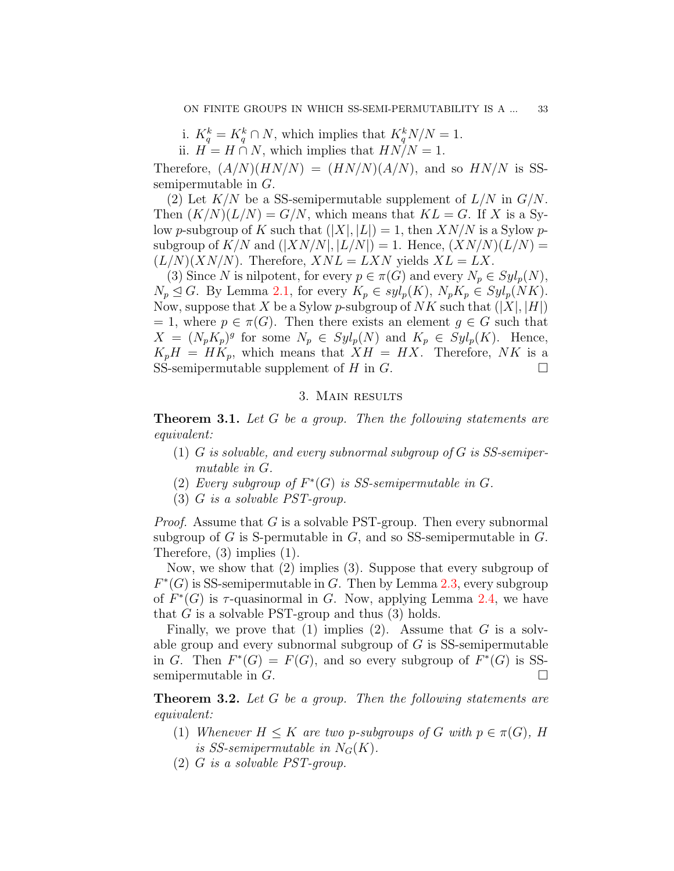i.  $K_q^k = K_q^k \cap N$ , which implies that  $K_q^k N/N = 1$ .

ii.  $H = H \cap N$ , which implies that  $HN/N = 1$ .

Therefore,  $(A/N)(HN/N) = (HN/N)(A/N)$ , and so  $HN/N$  is SSsemipermutable in *G*.

(2) Let *K/N* be a SS-semipermutable supplement of *L/N* in *G/N*. Then  $(K/N)(L/N) = G/N$ , which means that  $KL = G$ . If X is a Sylow *p*-subgroup of *K* such that  $(|X|, |L|) = 1$ , then  $XN/N$  is a Sylow *p*subgroup of  $K/N$  and  $(|XN/N|, |L/N|) = 1$ . Hence,  $(XN/N)(L/N) =$  $(L/N)(XN/N)$ . Therefore,  $XNL = LXN$  yields  $XL = LX$ .

(3) Since *N* is nilpotent, for every  $p \in \pi(G)$  and every  $N_p \in Syl_p(N)$ ,  $N_p \leq G$ . By Lemma [2.1,](#page-2-1) for every  $K_p \in syl_p(K)$ ,  $N_pK_p \in Syl_p(NK)$ . Now, suppose that *X* be a Sylow *p*-subgroup of *NK* such that  $(|X|, |H|)$  $= 1$ , where  $p \in \pi(G)$ . Then there exists an element  $q \in G$  such that  $X = (N_p K_p)^g$  for some  $N_p \in Syl_p(N)$  and  $K_p \in Syl_p(K)$ . Hence,  $K_pH = HK_p$ , which means that  $XH = HX$ . Therefore, *NK* is a SS-semipermutable supplement of *H* in *G*.  $\Box$ 

#### 3. Main results

<span id="page-4-0"></span>**Theorem 3.1.** *Let G be a group. Then the following statements are equivalent:*

- (1) *G is solvable, and every subnormal subgroup of G is SS-semipermutable in G.*
- (2) *Every subgroup of*  $F^*(G)$  *is SS-semipermutable in G.*
- (3) *G is a solvable PST-group.*

*Proof.* Assume that *G* is a solvable PST-group. Then every subnormal subgroup of *G* is S-permutable in *G*, and so SS-semipermutable in *G*. Therefore, (3) implies (1).

Now, we show that (2) implies (3). Suppose that every subgroup of *F*<sup>\*</sup>(*G*) is SS-semipermutable in *G*. Then by Lemma [2.3](#page-2-2), every subgroup of  $F^*(G)$  is  $\tau$ -quasinormal in *G*. Now, applying Lemma [2.4](#page-3-0), we have that *G* is a solvable PST-group and thus (3) holds.

Finally, we prove that (1) implies (2). Assume that *G* is a solvable group and every subnormal subgroup of *G* is SS-semipermutable in *G*. Then  $F^*(G) = F(G)$ , and so every subgroup of  $F^*(G)$  is SSsemipermutable in  $G$ .

**Theorem 3.2.** *Let G be a group. Then the following statements are equivalent:*

- (1) *Whenever*  $H \leq K$  *are two p-subgroups of*  $G$  *with*  $p \in \pi(G)$ *,*  $H$ *is SS-semipermutable in*  $N_G(K)$ .
- (2) *G is a solvable PST-group.*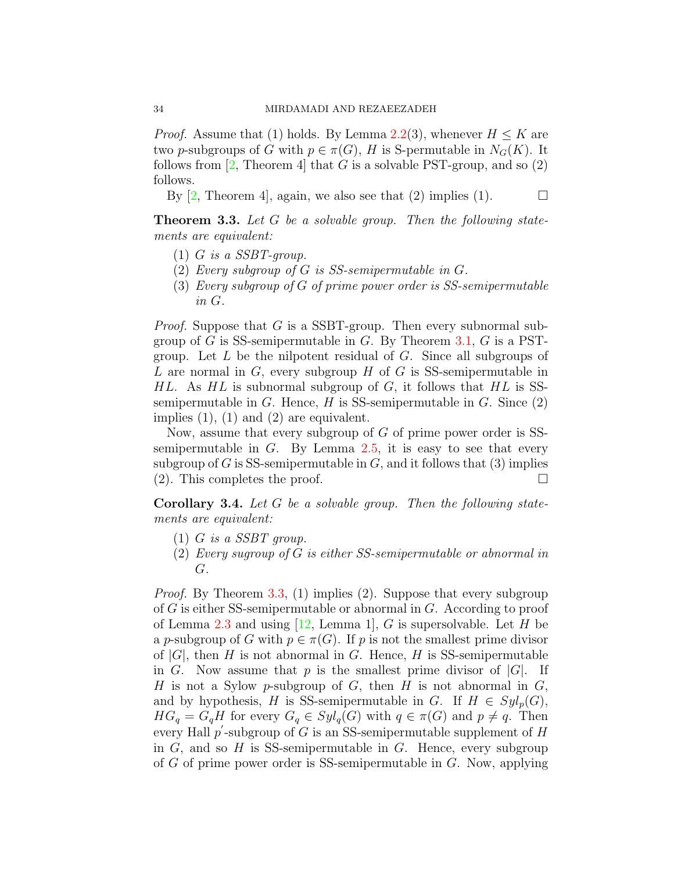*Proof.* Assume that (1) holds. By Lemma [2.2\(](#page-2-0)3), whenever  $H \leq K$  are two *p*-subgroups of *G* with  $p \in \pi(G)$ , *H* is S-permutable in  $N_G(K)$ . It follows from  $[2,$  $[2,$  Theorem 4 that *G* is a solvable PST-group, and so  $(2)$ follows.

By  $[2,$  Theorem 4, again, we also see that  $(2)$  implies  $(1)$ .  $\Box$ 

<span id="page-5-0"></span>**Theorem 3.3.** *Let G be a solvable group. Then the following statements are equivalent:*

- (1) *G is a SSBT-group.*
- (2) *Every subgroup of G is SS-semipermutable in G.*
- (3) *Every subgroup of G of prime power order is SS-semipermutable in G.*

*Proof.* Suppose that *G* is a SSBT-group. Then every subnormal subgroup of *G* is SS-semipermutable in *G*. By Theorem [3.1,](#page-4-0) *G* is a PSTgroup. Let *L* be the nilpotent residual of *G*. Since all subgroups of *L* are normal in *G*, every subgroup *H* of *G* is SS-semipermutable in *HL*. As *HL* is subnormal subgroup of *G*, it follows that *HL* is SSsemipermutable in *G*. Hence, *H* is SS-semipermutable in *G*. Since (2) implies  $(1)$ ,  $(1)$  and  $(2)$  are equivalent.

Now, assume that every subgroup of *G* of prime power order is SSsemipermutable in *G*. By Lemma [2.5](#page-3-1), it is easy to see that every subgroup of  $G$  is SS-semipermutable in  $G$ , and it follows that  $(3)$  implies (2). This completes the proof.  $\Box$ 

**Corollary 3.4.** *Let G be a solvable group. Then the following statements are equivalent:*

- (1) *G is a SSBT group.*
- (2) *Every sugroup of G is either SS-semipermutable or abnormal in G.*

*Proof.* By Theorem [3.3](#page-5-0), (1) implies (2). Suppose that every subgroup of *G* is either SS-semipermutable or abnormal in *G*. According to proof of Lemma [2.3](#page-2-2) and using [[12,](#page-7-0) Lemma 1], *G* is supersolvable. Let *H* be a *p*-subgroup of *G* with  $p \in \pi(G)$ . If *p* is not the smallest prime divisor of  $|G|$ , then *H* is not abnormal in *G*. Hence, *H* is SS-semipermutable in *G*. Now assume that *p* is the smallest prime divisor of  $|G|$ . If *H* is not a Sylow *p*-subgroup of *G*, then *H* is not abnormal in *G*, and by hypothesis, *H* is SS-semipermutable in *G*. If  $H \in Syl_p(G)$ ,  $HG_q = G_qH$  for every  $G_q \in Syl_q(G)$  with  $q \in \pi(G)$  and  $p \neq q$ . Then every Hall  $p'$ -subgroup of  $G$  is an SS-semipermutable supplement of  $H$ in *G*, and so *H* is SS-semipermutable in *G*. Hence, every subgroup of *G* of prime power order is SS-semipermutable in *G*. Now, applying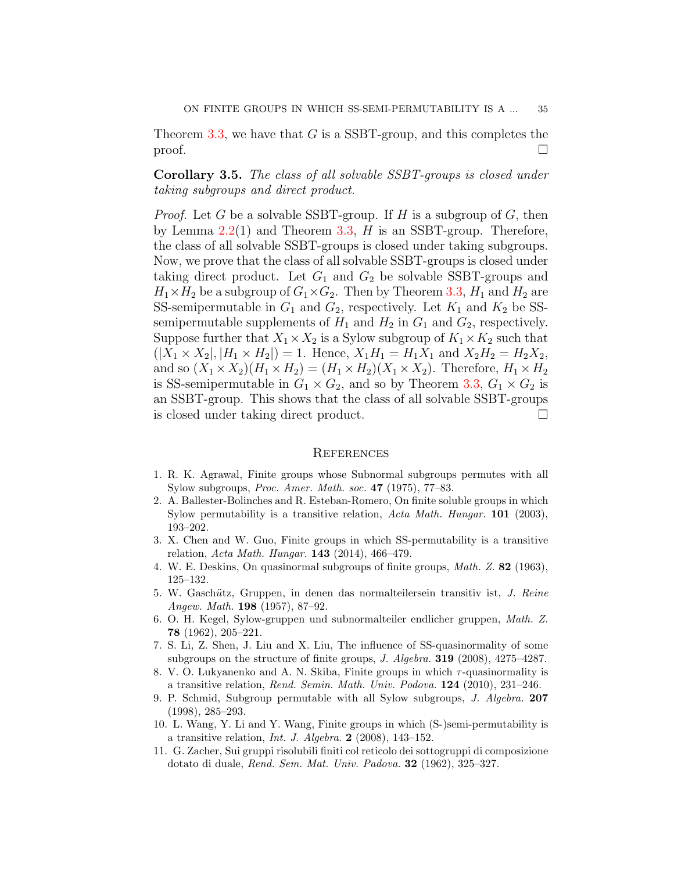Theorem [3.3,](#page-5-0) we have that *G* is a SSBT-group, and this completes the proof.  $\Box$ 

**Corollary 3.5.** *The class of all solvable SSBT-groups is closed under taking subgroups and direct product.*

*Proof.* Let *G* be a solvable SSBT-group. If *H* is a subgroup of *G*, then by Lemma [2.2\(](#page-2-0)1) and Theorem [3.3](#page-5-0), *H* is an SSBT-group. Therefore, the class of all solvable SSBT-groups is closed under taking subgroups. Now, we prove that the class of all solvable SSBT-groups is closed under taking direct product. Let  $G_1$  and  $G_2$  be solvable SSBT-groups and  $H_1 \times H_2$  be a subgroup of  $G_1 \times G_2$ . Then by Theorem [3.3](#page-5-0),  $H_1$  and  $H_2$  are SS-semipermutable in  $G_1$  and  $G_2$ , respectively. Let  $K_1$  and  $K_2$  be SSsemipermutable supplements of  $H_1$  and  $H_2$  in  $G_1$  and  $G_2$ , respectively. Suppose further that  $X_1 \times X_2$  is a Sylow subgroup of  $K_1 \times K_2$  such that  $(|X_1 \times X_2|, |H_1 \times H_2|) = 1$ . Hence,  $X_1H_1 = H_1X_1$  and  $X_2H_2 = H_2X_2$ , and so  $(X_1 \times X_2)(H_1 \times H_2) = (H_1 \times H_2)(X_1 \times X_2)$ . Therefore,  $H_1 \times H_2$ is SS-semipermutable in  $G_1 \times G_2$ , and so by Theorem [3.3,](#page-5-0)  $G_1 \times G_2$  is an SSBT-group. This shows that the class of all solvable SSBT-groups is closed under taking direct product.  $\Box$ 

#### **REFERENCES**

- <span id="page-6-3"></span>1. R. K. Agrawal, Finite groups whose Subnormal subgroups permutes with all Sylow subgroups, *Proc. Amer. Math. soc.* **47** (1975), 77–83.
- <span id="page-6-10"></span>2. A. Ballester-Bolinches and R. Esteban-Romero, On finite soluble groups in which Sylow permutability is a transitive relation, *Acta Math. Hungar.* **101** (2003), 193–202.
- <span id="page-6-8"></span>3. X. Chen and W. Guo, Finite groups in which SS-permutability is a transitive relation, *Acta Math. Hungar.* **143** (2014), 466–479.
- <span id="page-6-1"></span>4. W. E. Deskins, On quasinormal subgroups of finite groups, *Math. Z.* **82** (1963), 125–132.
- <span id="page-6-4"></span>5. W. Gasch¨*u*tz, Gruppen, in denen das normalteilersein transitiv ist, *J. Reine Angew. Math.* **198** (1957), 87–92.
- <span id="page-6-0"></span>6. O. H. Kegel, Sylow-gruppen und subnormalteiler endlicher gruppen, *Math. Z.* **78** (1962), 205–221.
- <span id="page-6-7"></span>7. S. Li, Z. Shen, J. Liu and X. Liu, The influence of SS-quasinormality of some subgroups on the structure of finite groups, *J. Algebra.* **319** (2008), 4275–4287.
- <span id="page-6-9"></span>8. V. O. Lukyanenko and A. N. Skiba, Finite groups in which *τ* -quasinormality is a transitive relation, *Rend. Semin. Math. Univ. Podova.* **124** (2010), 231–246.
- <span id="page-6-2"></span>9. P. Schmid, Subgroup permutable with all Sylow subgroups, *J. Algebra.* **207** (1998), 285–293.
- <span id="page-6-6"></span>10. L. Wang, Y. Li and Y. Wang, Finite groups in which (S-)semi-permutability is a transitive relation, *Int. J. Algebra.* **2** (2008), 143–152.
- <span id="page-6-5"></span>11. G. Zacher, Sui gruppi risolubili finiti col reticolo dei sottogruppi di composizione dotato di duale, *Rend. Sem. Mat. Univ. Padova.* **32** (1962), 325–327.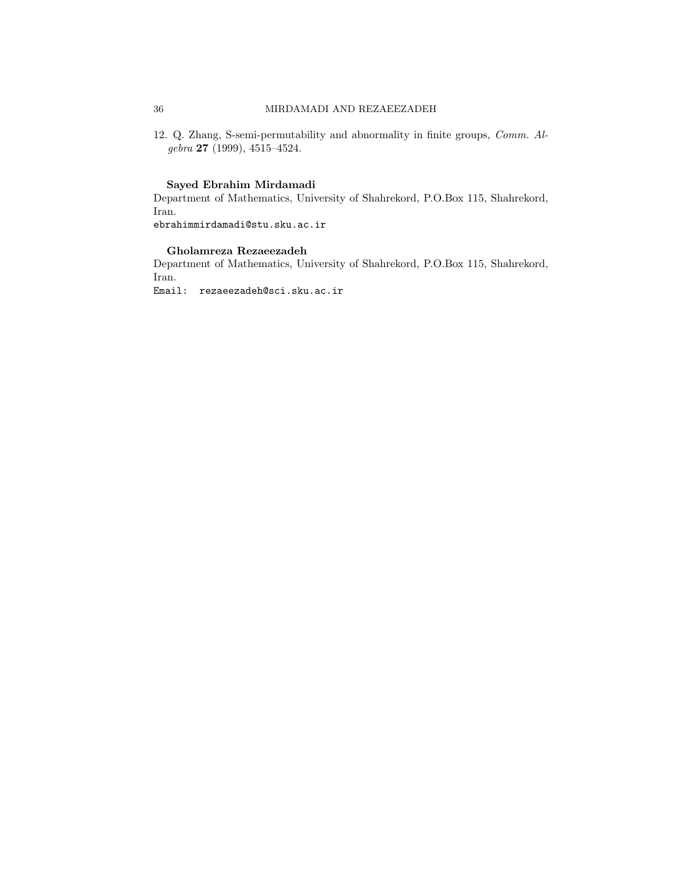## 36 MIRDAMADI AND REZAEEZADEH

<span id="page-7-0"></span>12. Q. Zhang, S-semi-permutability and abnormality in finite groups, *Comm. Algebra* **27** (1999), 4515–4524.

#### **Sayed Ebrahim Mirdamadi**

Department of Mathematics, University of Shahrekord, P.O.Box 115, Shahrekord, Iran.

ebrahimmirdamadi@stu.sku.ac.ir

#### **Gholamreza Rezaeezadeh**

Department of Mathematics, University of Shahrekord, P.O.Box 115, Shahrekord, Iran.

Email: rezaeezadeh@sci.sku.ac.ir